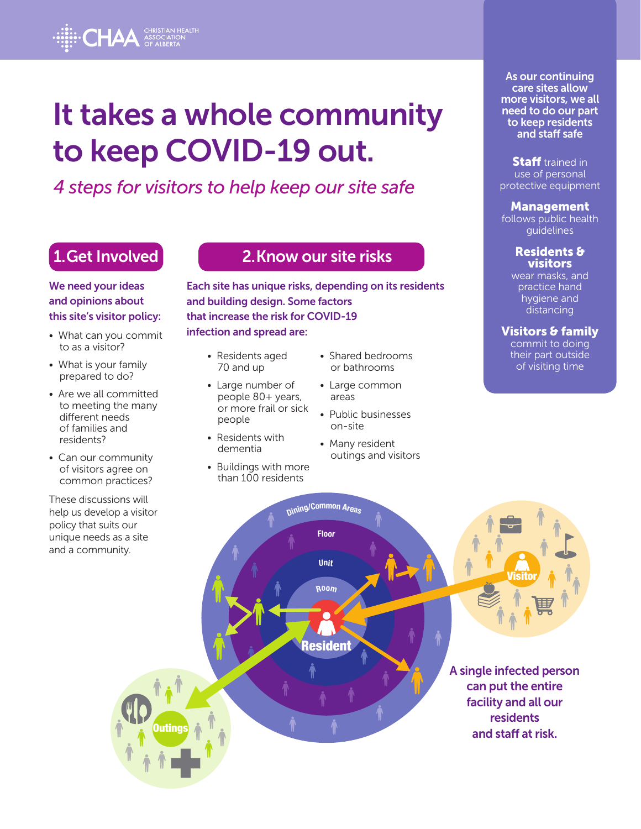**HAA** CHRISTIAN HEALTH

to keep COVID-19 out.

*4 steps for visitors to help keep our site safe*

# 1. Get Involved

We need your ideas and opinions about this site's visitor policy:

- What can you commit to as a visitor?
- What is your family prepared to do?
- Are we all committed to meeting the many different needs of families and residents?
- Can our community of visitors agree on common practices?

These discussions will help us develop a visitor policy that suits our unique needs as a site and a community.

## 2. Know our site risks

Each site has unique risks, depending on its residents and building design. Some factors that increase the risk for COVID-19 infection and spread are:

- Residents aged 70 and up
- Large number of people 80+ years, or more frail or sick people
- Residents with dementia
- Buildings with more than 100 residents
- Shared bedrooms or bathrooms
- Large common areas
- Public businesses on-site
- Many resident outings and visitors

As our continuing care sites allow more visitors, we all need to do our part to keep residents and staff safe

**Staff** trained in use of personal protective equipment

### Management

follows public health guidelines

### Residents & **visitors**

wear masks, and practice hand hygiene and distancing

### Visitors & family

commit to doing their part outside of visiting time